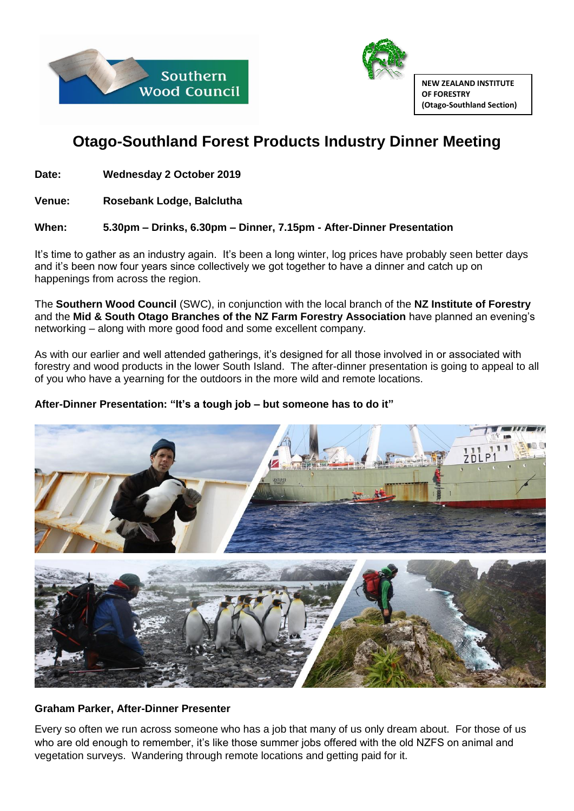



**NEW ZEALAND INSTITUTE OF FORESTRY (Otago-Southland Section)**

# **Otago-Southland Forest Products Industry Dinner Meeting**

**Date: Wednesday 2 October 2019**

**Venue: Rosebank Lodge, Balclutha** 

## **When: 5.30pm – Drinks, 6.30pm – Dinner, 7.15pm - After-Dinner Presentation**

It's time to gather as an industry again. It's been a long winter, log prices have probably seen better days and it's been now four years since collectively we got together to have a dinner and catch up on happenings from across the region.

The **Southern Wood Council** (SWC), in conjunction with the local branch of the **NZ Institute of Forestry**  and the **Mid & South Otago Branches of the NZ Farm Forestry Association** have planned an evening's networking – along with more good food and some excellent company.

As with our earlier and well attended gatherings, it's designed for all those involved in or associated with forestry and wood products in the lower South Island. The after-dinner presentation is going to appeal to all of you who have a yearning for the outdoors in the more wild and remote locations.

# **After-Dinner Presentation: "It's a tough job – but someone has to do it"**



#### **Graham Parker, After-Dinner Presenter**

Every so often we run across someone who has a job that many of us only dream about. For those of us who are old enough to remember, it's like those summer jobs offered with the old NZFS on animal and vegetation surveys. Wandering through remote locations and getting paid for it.